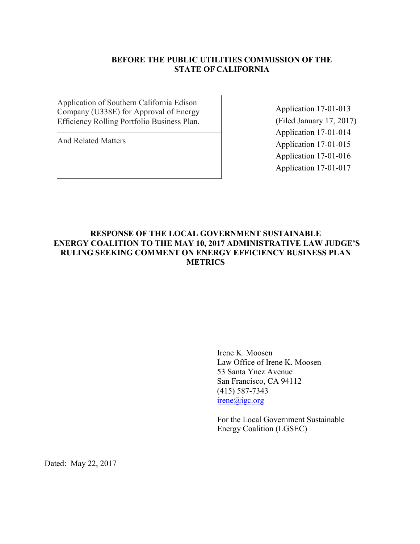## **BEFORE THE PUBLIC UTILITIES COMMISSION OFTHE STATE OF CALIFORNIA**

Application of Southern California Edison Company (U338E) for Approval of Energy Efficiency Rolling Portfolio Business Plan.

And Related Matters

Application 17-01-013 (Filed January 17, 2017) Application 17-01-014 Application 17-01-015 Application 17-01-016 Application 17-01-017

## **RESPONSE OF THE LOCAL GOVERNMENT SUSTAINABLE ENERGY COALITION TO THE MAY 10, 2017 ADMINISTRATIVE LAW JUDGE'S RULING SEEKING COMMENT ON ENERGY EFFICIENCY BUSINESS PLAN METRICS**

Irene K. Moosen Law Office of Irene K. Moosen 53 Santa Ynez Avenue San Francisco, CA 94112 (415) 587-7343 irene@igc.org

For the Local Government Sustainable Energy Coalition (LGSEC)

Dated: May 22, 2017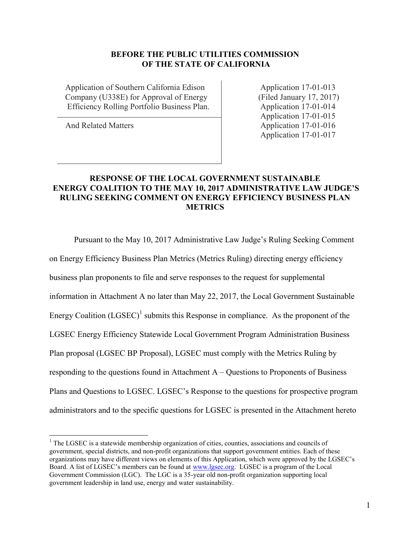#### **BEFORE THE PUBLIC UTILITIES COMMISSION OF THE STATE OF CALIFORNIA**

Application of Southern California Edison Application 17-01-013 Company (U338E) for Approval of Energy (Filed January 17, 2017) Efficiency Rolling Portfolio Business Plan. Application 17-01-014

 $\overline{a}$ 

Application 17-01-015 And Related Matters Application 17-01-016 Application 17-01-017

## **RESPONSE OF THE LOCAL GOVERNMENT SUSTAINABLE ENERGY COALITION TO THE MAY 10, 2017 ADMINISTRATIVE LAW JUDGE'S RULING SEEKING COMMENT ON ENERGY EFFICIENCY BUSINESS PLAN METRICS**

Pursuant to the May 10, 2017 Administrative Law Judge's Ruling Seeking Comment on Energy Efficiency Business Plan Metrics (Metrics Ruling) directing energy efficiency business plan proponents to file and serve responses to the request for supplemental information in Attachment A no later than May 22, 2017, the Local Government Sustainable Energy Coalition  $(LGSEC)^{1}$  submits this Response in compliance. As the proponent of the LGSEC Energy Efficiency Statewide Local Government Program Administration Business Plan proposal (LGSEC BP Proposal), LGSEC must comply with the Metrics Ruling by responding to the questions found in Attachment  $A - Q$ uestions to Proponents of Business Plans and Questions to LGSEC. LGSEC's Response to the questions for prospective program administrators and to the specific questions for LGSEC is presented in the Attachment hereto

 $<sup>1</sup>$  The LGSEC is a statewide membership organization of cities, counties, associations and councils of</sup> government, special districts, and non-profit organizations that support government entities. Each of these organizations may have different views on elements of this Application, which were approved by the LGSEC's Board. A list of LGSEC's members can be found at [www.lgsec.org.](http://www.lgsec.org/) LGSEC is a program of the Local Government Commission (LGC). The LGC is a 35-year old non-profit organization supporting local government leadership in land use, energy and water sustainability.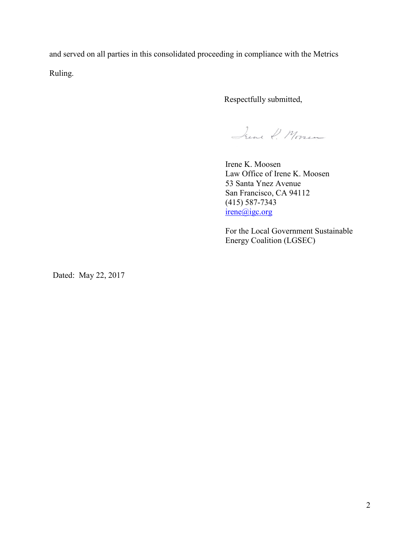and served on all parties in this consolidated proceeding in compliance with the Metrics Ruling.

Respectfully submitted,

June P. Moren

Irene K. Moosen Law Office of Irene K. Moosen 53 Santa Ynez Avenue San Francisco, CA 94112 (415) 587-7343 irene@igc.org

For the Local Government Sustainable Energy Coalition (LGSEC)

Dated: May 22, 2017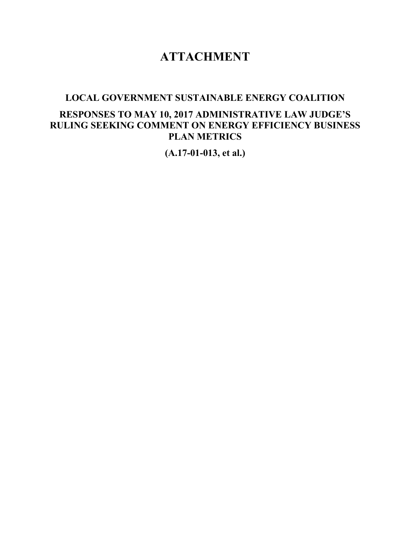# **ATTACHMENT**

## **LOCAL GOVERNMENT SUSTAINABLE ENERGY COALITION**

## **RESPONSES TO MAY 10, 2017 ADMINISTRATIVE LAW JUDGE'S RULING SEEKING COMMENT ON ENERGY EFFICIENCY BUSINESS PLAN METRICS**

**(A.17-01-013, et al.)**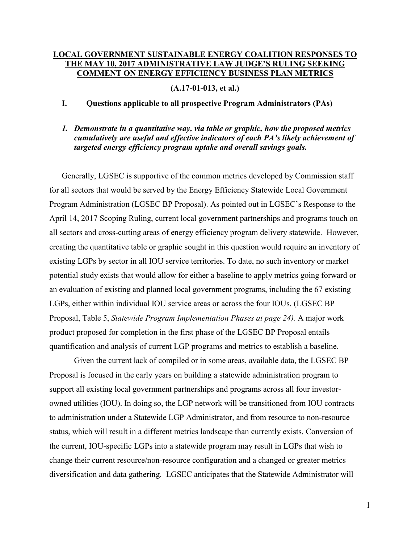## **LOCAL GOVERNMENT SUSTAINABLE ENERGY COALITION RESPONSES TO THE MAY 10, 2017 ADMINISTRATIVE LAW JUDGE'S RULING SEEKING COMMENT ON ENERGY EFFICIENCY BUSINESS PLAN METRICS**

**(A.17-01-013, et al.)**

#### **I. Questions applicable to all prospective Program Administrators (PAs)**

#### *1. Demonstrate in a quantitative way, via table or graphic, how the proposed metrics cumulatively are useful and effective indicators of each PA's likely achievement of targeted energy efficiency program uptake and overall savings goals.*

Generally, LGSEC is supportive of the common metrics developed by Commission staff for all sectors that would be served by the Energy Efficiency Statewide Local Government Program Administration (LGSEC BP Proposal). As pointed out in LGSEC's Response to the April 14, 2017 Scoping Ruling, current local government partnerships and programs touch on all sectors and cross-cutting areas of energy efficiency program delivery statewide. However, creating the quantitative table or graphic sought in this question would require an inventory of existing LGPs by sector in all IOU service territories. To date, no such inventory or market potential study exists that would allow for either a baseline to apply metrics going forward or an evaluation of existing and planned local government programs, including the 67 existing LGPs, either within individual IOU service areas or across the four IOUs. (LGSEC BP Proposal, Table 5, *Statewide Program Implementation Phases at page 24).* A major work product proposed for completion in the first phase of the LGSEC BP Proposal entails quantification and analysis of current LGP programs and metrics to establish a baseline.

Given the current lack of compiled or in some areas, available data, the LGSEC BP Proposal is focused in the early years on building a statewide administration program to support all existing local government partnerships and programs across all four investorowned utilities (IOU). In doing so, the LGP network will be transitioned from IOU contracts to administration under a Statewide LGP Administrator, and from resource to non-resource status, which will result in a different metrics landscape than currently exists. Conversion of the current, IOU-specific LGPs into a statewide program may result in LGPs that wish to change their current resource/non-resource configuration and a changed or greater metrics diversification and data gathering. LGSEC anticipates that the Statewide Administrator will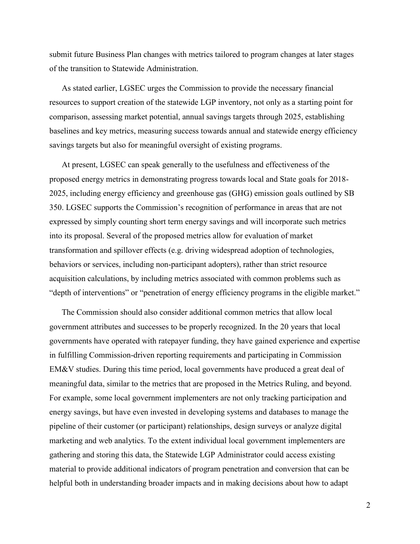submit future Business Plan changes with metrics tailored to program changes at later stages of the transition to Statewide Administration.

As stated earlier, LGSEC urges the Commission to provide the necessary financial resources to support creation of the statewide LGP inventory, not only as a starting point for comparison, assessing market potential, annual savings targets through 2025, establishing baselines and key metrics, measuring success towards annual and statewide energy efficiency savings targets but also for meaningful oversight of existing programs.

At present, LGSEC can speak generally to the usefulness and effectiveness of the proposed energy metrics in demonstrating progress towards local and State goals for 2018- 2025, including energy efficiency and greenhouse gas (GHG) emission goals outlined by SB 350. LGSEC supports the Commission's recognition of performance in areas that are not expressed by simply counting short term energy savings and will incorporate such metrics into its proposal. Several of the proposed metrics allow for evaluation of market transformation and spillover effects (e.g. driving widespread adoption of technologies, behaviors or services, including non-participant adopters), rather than strict resource acquisition calculations, by including metrics associated with common problems such as "depth of interventions" or "penetration of energy efficiency programs in the eligible market."

The Commission should also consider additional common metrics that allow local government attributes and successes to be properly recognized. In the 20 years that local governments have operated with ratepayer funding, they have gained experience and expertise in fulfilling Commission-driven reporting requirements and participating in Commission EM&V studies. During this time period, local governments have produced a great deal of meaningful data, similar to the metrics that are proposed in the Metrics Ruling, and beyond. For example, some local government implementers are not only tracking participation and energy savings, but have even invested in developing systems and databases to manage the pipeline of their customer (or participant) relationships, design surveys or analyze digital marketing and web analytics. To the extent individual local government implementers are gathering and storing this data, the Statewide LGP Administrator could access existing material to provide additional indicators of program penetration and conversion that can be helpful both in understanding broader impacts and in making decisions about how to adapt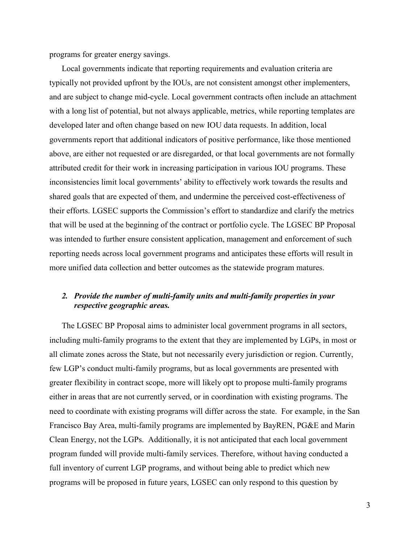programs for greater energy savings.

Local governments indicate that reporting requirements and evaluation criteria are typically not provided upfront by the IOUs, are not consistent amongst other implementers, and are subject to change mid-cycle. Local government contracts often include an attachment with a long list of potential, but not always applicable, metrics, while reporting templates are developed later and often change based on new IOU data requests. In addition, local governments report that additional indicators of positive performance, like those mentioned above, are either not requested or are disregarded, or that local governments are not formally attributed credit for their work in increasing participation in various IOU programs. These inconsistencies limit local governments' ability to effectively work towards the results and shared goals that are expected of them, and undermine the perceived cost-effectiveness of their efforts. LGSEC supports the Commission's effort to standardize and clarify the metrics that will be used at the beginning of the contract or portfolio cycle. The LGSEC BP Proposal was intended to further ensure consistent application, management and enforcement of such reporting needs across local government programs and anticipates these efforts will result in more unified data collection and better outcomes as the statewide program matures.

#### *2. Provide the number of multi-family units and multi-family properties in your respective geographic areas.*

The LGSEC BP Proposal aims to administer local government programs in all sectors, including multi-family programs to the extent that they are implemented by LGPs, in most or all climate zones across the State, but not necessarily every jurisdiction or region. Currently, few LGP's conduct multi-family programs, but as local governments are presented with greater flexibility in contract scope, more will likely opt to propose multi-family programs either in areas that are not currently served, or in coordination with existing programs. The need to coordinate with existing programs will differ across the state. For example, in the San Francisco Bay Area, multi-family programs are implemented by BayREN, PG&E and Marin Clean Energy, not the LGPs. Additionally, it is not anticipated that each local government program funded will provide multi-family services. Therefore, without having conducted a full inventory of current LGP programs, and without being able to predict which new programs will be proposed in future years, LGSEC can only respond to this question by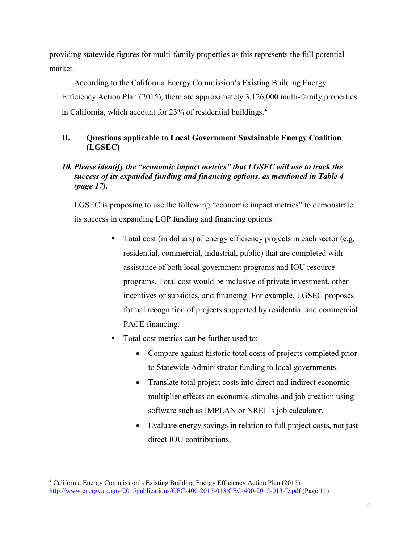providing statewide figures for multi-family properties as this represents the full potential market.

According to the California Energy Commission's Existing Building Energy Efficiency Action Plan (2015), there are approximately 3,126,000 multi-family properties in California, which account for  $23\%$  of residential buildings.<sup>2</sup>

## **II. Questions applicable to Local Government Sustainable Energy Coalition (LGSEC)**

## *10. Please identify the "economic impact metrics" that LGSEC will use to track the success of its expanded funding and financing options, as mentioned in Table 4 (page 17).*

LGSEC is proposing to use the following "economic impact metrics" to demonstrate its success in expanding LGP funding and financing options:

- Total cost (in dollars) of energy efficiency projects in each sector (e.g. residential, commercial, industrial, public) that are completed with assistance of both local government programs and IOU resource programs. Total cost would be inclusive of private investment, other incentives or subsidies, and financing. For example, LGSEC proposes formal recognition of projects supported by residential and commercial PACE financing.
- Total cost metrics can be further used to:
	- Compare against historic total costs of projects completed prior to Statewide Administrator funding to local governments.
	- Translate total project costs into direct and indirect economic multiplier effects on economic stimulus and job creation using software such as IMPLAN or NREL's job calculator.
	- Evaluate energy savings in relation to full project costs, not just direct IOU contributions.

 $\overline{a}$ <sup>2</sup> California Energy Commission's Existing Building Energy Efficiency Action Plan (2015). <http://www.energy.ca.gov/2015publications/CEC-400-2015-013/CEC-400-2015-013-D.pdf> (Page 11)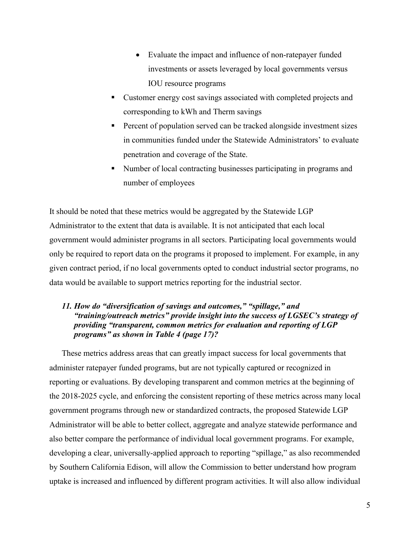- Evaluate the impact and influence of non-ratepayer funded investments or assets leveraged by local governments versus IOU resource programs
- Customer energy cost savings associated with completed projects and corresponding to kWh and Therm savings
- Percent of population served can be tracked alongside investment sizes in communities funded under the Statewide Administrators' to evaluate penetration and coverage of the State.
- Number of local contracting businesses participating in programs and number of employees

It should be noted that these metrics would be aggregated by the Statewide LGP Administrator to the extent that data is available. It is not anticipated that each local government would administer programs in all sectors. Participating local governments would only be required to report data on the programs it proposed to implement. For example, in any given contract period, if no local governments opted to conduct industrial sector programs, no data would be available to support metrics reporting for the industrial sector.

## *11. How do "diversification of savings and outcomes," "spillage," and "training/outreach metrics" provide insight into the success of LGSEC's strategy of providing "transparent, common metrics for evaluation and reporting of LGP programs" as shown in Table 4 (page 17)?*

These metrics address areas that can greatly impact success for local governments that administer ratepayer funded programs, but are not typically captured or recognized in reporting or evaluations. By developing transparent and common metrics at the beginning of the 2018-2025 cycle, and enforcing the consistent reporting of these metrics across many local government programs through new or standardized contracts, the proposed Statewide LGP Administrator will be able to better collect, aggregate and analyze statewide performance and also better compare the performance of individual local government programs. For example, developing a clear, universally-applied approach to reporting "spillage," as also recommended by Southern California Edison, will allow the Commission to better understand how program uptake is increased and influenced by different program activities. It will also allow individual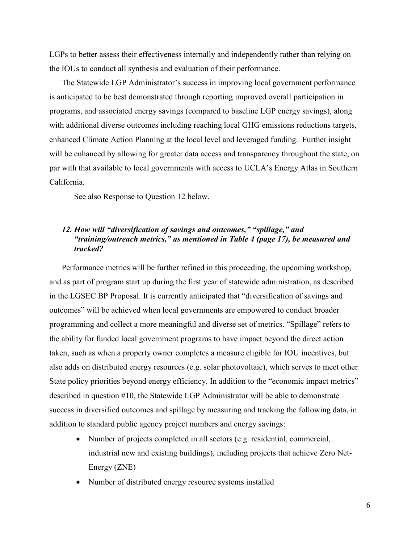LGPs to better assess their effectiveness internally and independently rather than relying on the IOUs to conduct all synthesis and evaluation of their performance.

The Statewide LGP Administrator's success in improving local government performance is anticipated to be best demonstrated through reporting improved overall participation in programs, and associated energy savings (compared to baseline LGP energy savings), along with additional diverse outcomes including reaching local GHG emissions reductions targets, enhanced Climate Action Planning at the local level and leveraged funding. Further insight will be enhanced by allowing for greater data access and transparency throughout the state, on par with that available to local governments with access to UCLA's Energy Atlas in Southern California.

See also Response to Question 12 below.

## *12. How will "diversification of savings and outcomes," "spillage," and "training/outreach metrics," as mentioned in Table 4 (page 17), be measured and tracked?*

Performance metrics will be further refined in this proceeding, the upcoming workshop, and as part of program start up during the first year of statewide administration, as described in the LGSEC BP Proposal. It is currently anticipated that "diversification of savings and outcomes" will be achieved when local governments are empowered to conduct broader programming and collect a more meaningful and diverse set of metrics. "Spillage" refers to the ability for funded local government programs to have impact beyond the direct action taken, such as when a property owner completes a measure eligible for IOU incentives, but also adds on distributed energy resources (e.g. solar photovoltaic), which serves to meet other State policy priorities beyond energy efficiency. In addition to the "economic impact metrics" described in question #10, the Statewide LGP Administrator will be able to demonstrate success in diversified outcomes and spillage by measuring and tracking the following data, in addition to standard public agency project numbers and energy savings:

- Number of projects completed in all sectors (e.g. residential, commercial, industrial new and existing buildings), including projects that achieve Zero Net-Energy (ZNE)
- Number of distributed energy resource systems installed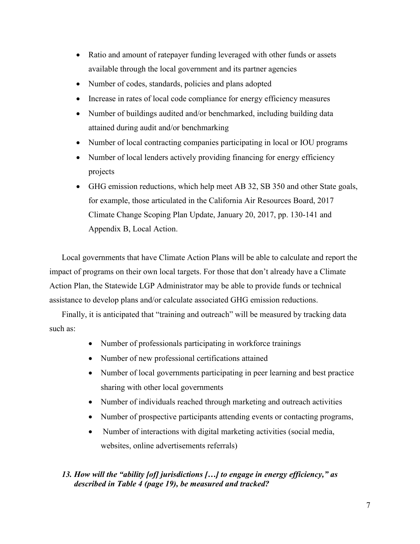- Ratio and amount of ratepayer funding leveraged with other funds or assets available through the local government and its partner agencies
- Number of codes, standards, policies and plans adopted
- Increase in rates of local code compliance for energy efficiency measures
- Number of buildings audited and/or benchmarked, including building data attained during audit and/or benchmarking
- Number of local contracting companies participating in local or IOU programs
- Number of local lenders actively providing financing for energy efficiency projects
- GHG emission reductions, which help meet AB 32, SB 350 and other State goals, for example, those articulated in the California Air Resources Board, 2017 Climate Change Scoping Plan Update, January 20, 2017, pp. 130-141 and Appendix B, Local Action.

Local governments that have Climate Action Plans will be able to calculate and report the impact of programs on their own local targets. For those that don't already have a Climate Action Plan, the Statewide LGP Administrator may be able to provide funds or technical assistance to develop plans and/or calculate associated GHG emission reductions.

Finally, it is anticipated that "training and outreach" will be measured by tracking data such as:

- Number of professionals participating in workforce trainings
- Number of new professional certifications attained
- Number of local governments participating in peer learning and best practice sharing with other local governments
- Number of individuals reached through marketing and outreach activities
- Number of prospective participants attending events or contacting programs,
- Number of interactions with digital marketing activities (social media, websites, online advertisements referrals)

## *13. How will the "ability [of] jurisdictions […] to engage in energy efficiency," as described in Table 4 (page 19), be measured and tracked?*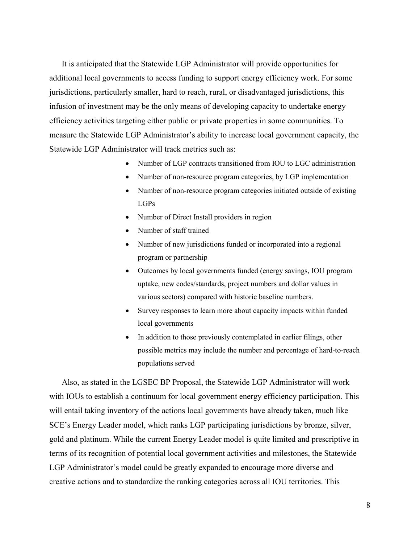It is anticipated that the Statewide LGP Administrator will provide opportunities for additional local governments to access funding to support energy efficiency work. For some jurisdictions, particularly smaller, hard to reach, rural, or disadvantaged jurisdictions, this infusion of investment may be the only means of developing capacity to undertake energy efficiency activities targeting either public or private properties in some communities. To measure the Statewide LGP Administrator's ability to increase local government capacity, the Statewide LGP Administrator will track metrics such as:

- Number of LGP contracts transitioned from IOU to LGC administration
- Number of non-resource program categories, by LGP implementation
- Number of non-resource program categories initiated outside of existing LGPs
- Number of Direct Install providers in region
- Number of staff trained
- Number of new jurisdictions funded or incorporated into a regional program or partnership
- Outcomes by local governments funded (energy savings, IOU program uptake, new codes/standards, project numbers and dollar values in various sectors) compared with historic baseline numbers.
- Survey responses to learn more about capacity impacts within funded local governments
- In addition to those previously contemplated in earlier filings, other possible metrics may include the number and percentage of hard-to-reach populations served

Also, as stated in the LGSEC BP Proposal, the Statewide LGP Administrator will work with IOUs to establish a continuum for local government energy efficiency participation. This will entail taking inventory of the actions local governments have already taken, much like SCE's Energy Leader model, which ranks LGP participating jurisdictions by bronze, silver, gold and platinum. While the current Energy Leader model is quite limited and prescriptive in terms of its recognition of potential local government activities and milestones, the Statewide LGP Administrator's model could be greatly expanded to encourage more diverse and creative actions and to standardize the ranking categories across all IOU territories. This